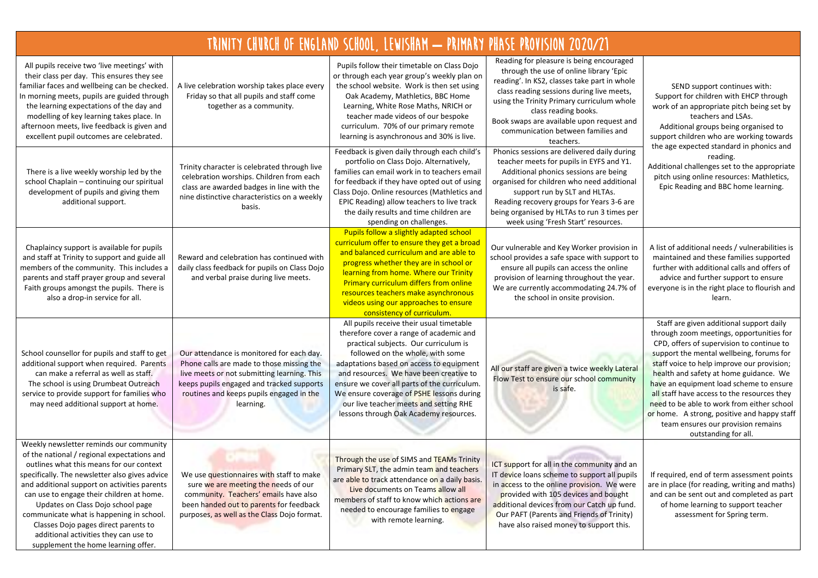| TRINITY CHURCH OF ENGLAND SCHOOL, LEWISHAM - PRIMARY PHASE PROVISION 2020/21                                                                                                                                                                                                                                                                                                                                                                                                               |                                                                                                                                                                                                                                             |                                                                                                                                                                                                                                                                                                                                                                                                                                          |                                                                                                                                                                                                                                                                                                                                                        |                                                                                                                                                                                                                                                                                                                                                                                                                                                                                                                            |  |  |  |
|--------------------------------------------------------------------------------------------------------------------------------------------------------------------------------------------------------------------------------------------------------------------------------------------------------------------------------------------------------------------------------------------------------------------------------------------------------------------------------------------|---------------------------------------------------------------------------------------------------------------------------------------------------------------------------------------------------------------------------------------------|------------------------------------------------------------------------------------------------------------------------------------------------------------------------------------------------------------------------------------------------------------------------------------------------------------------------------------------------------------------------------------------------------------------------------------------|--------------------------------------------------------------------------------------------------------------------------------------------------------------------------------------------------------------------------------------------------------------------------------------------------------------------------------------------------------|----------------------------------------------------------------------------------------------------------------------------------------------------------------------------------------------------------------------------------------------------------------------------------------------------------------------------------------------------------------------------------------------------------------------------------------------------------------------------------------------------------------------------|--|--|--|
| All pupils receive two 'live meetings' with<br>their class per day. This ensures they see<br>familiar faces and wellbeing can be checked.<br>In morning meets, pupils are guided through<br>the learning expectations of the day and<br>modelling of key learning takes place. In<br>afternoon meets, live feedback is given and<br>excellent pupil outcomes are celebrated.                                                                                                               | A live celebration worship takes place every<br>Friday so that all pupils and staff come<br>together as a community.                                                                                                                        | Pupils follow their timetable on Class Dojo<br>or through each year group's weekly plan on<br>the school website. Work is then set using<br>Oak Academy, Mathletics, BBC Home<br>Learning, White Rose Maths, NRICH or<br>teacher made videos of our bespoke<br>curriculum. 70% of our primary remote<br>learning is asynchronous and 30% is live.                                                                                        | Reading for pleasure is being encouraged<br>through the use of online library 'Epic<br>reading'. In KS2, classes take part in whole<br>class reading sessions during live meets,<br>using the Trinity Primary curriculum whole<br>class reading books.<br>Book swaps are available upon request and<br>communication between families and<br>teachers. | SEND support continues with:<br>Support for children with EHCP through<br>work of an appropriate pitch being set by<br>teachers and LSAs.<br>Additional groups being organised to<br>support children who are working towards                                                                                                                                                                                                                                                                                              |  |  |  |
| There is a live weekly worship led by the<br>school Chaplain - continuing our spiritual<br>development of pupils and giving them<br>additional support.                                                                                                                                                                                                                                                                                                                                    | Trinity character is celebrated through live<br>celebration worships. Children from each<br>class are awarded badges in line with the<br>nine distinctive characteristics on a weekly<br>basis.                                             | Feedback is given daily through each child's<br>portfolio on Class Dojo. Alternatively,<br>families can email work in to teachers email<br>for feedback if they have opted out of using<br>Class Dojo. Online resources (Mathletics and<br>EPIC Reading) allow teachers to live track<br>the daily results and time children are<br>spending on challenges.                                                                              | Phonics sessions are delivered daily during<br>teacher meets for pupils in EYFS and Y1.<br>Additional phonics sessions are being<br>organised for children who need additional<br>support run by SLT and HLTAs.<br>Reading recovery groups for Years 3-6 are<br>being organised by HLTAs to run 3 times per<br>week using 'Fresh Start' resources.     | the age expected standard in phonics and<br>reading.<br>Additional challenges set to the appropriate<br>pitch using online resources: Mathletics,<br>Epic Reading and BBC home learning.                                                                                                                                                                                                                                                                                                                                   |  |  |  |
| Chaplaincy support is available for pupils<br>and staff at Trinity to support and guide all<br>members of the community. This includes a<br>parents and staff prayer group and several<br>Faith groups amongst the pupils. There is<br>also a drop-in service for all.                                                                                                                                                                                                                     | Reward and celebration has continued with<br>daily class feedback for pupils on Class Dojo<br>and verbal praise during live meets.                                                                                                          | Pupils follow a slightly adapted school<br>curriculum offer to ensure they get a broad<br>and balanced curriculum and are able to<br>progress whether they are in school or<br>learning from home. Where our Trinity<br>Primary curriculum differs from online<br>resources teachers make asynchronous<br>videos using our approaches to ensure<br>consistency of curriculum.                                                            | Our vulnerable and Key Worker provision in<br>school provides a safe space with support to<br>ensure all pupils can access the online<br>provision of learning throughout the year.<br>We are currently accommodating 24.7% of<br>the school in onsite provision.                                                                                      | A list of additional needs / vulnerabilities is<br>maintained and these families supported<br>further with additional calls and offers of<br>advice and further support to ensure<br>everyone is in the right place to flourish and<br>learn.                                                                                                                                                                                                                                                                              |  |  |  |
| School counsellor for pupils and staff to get<br>additional support when required. Parents<br>can make a referral as well as staff.<br>The school is using Drumbeat Outreach<br>service to provide support for families who<br>may need additional support at home.                                                                                                                                                                                                                        | Our attendance is monitored for each day.<br>Phone calls are made to those missing the<br>live meets or not submitting learning. This<br>keeps pupils engaged and tracked supports<br>routines and keeps pupils engaged in the<br>learning. | All pupils receive their usual timetable<br>therefore cover a range of academic and<br>practical subjects. Our curriculum is<br>followed on the whole, with some<br>adaptations based on access to equipment<br>and resources. We have been creative to<br>ensure we cover all parts of the curriculum.<br>We ensure coverage of PSHE lessons during<br>our live teacher meets and setting RHE<br>lessons through Oak Academy resources. | All our staff are given a twice weekly Lateral<br>Flow Test to ensure our school community<br>is safe.                                                                                                                                                                                                                                                 | Staff are given additional support daily<br>through zoom meetings, opportunities for<br>CPD, offers of supervision to continue to<br>support the mental wellbeing, forums for<br>staff voice to help improve our provision;<br>health and safety at home guidance. We<br>have an equipment load scheme to ensure<br>all staff have access to the resources they<br>need to be able to work from either school<br>or home. A strong, positive and happy staff<br>team ensures our provision remains<br>outstanding for all. |  |  |  |
| Weekly newsletter reminds our community<br>of the national / regional expectations and<br>outlines what this means for our context<br>specifically. The newsletter also gives advice<br>and additional support on activities parents<br>can use to engage their children at home.<br>Updates on Class Dojo school page<br>communicate what is happening in school.<br>Classes Dojo pages direct parents to<br>additional activities they can use to<br>supplement the home learning offer. | We use questionnaires with staff to make<br>sure we are meeting the needs of our<br>community. Teachers' emails have also<br>been handed out to parents for feedback<br>purposes, as well as the Class Dojo format.                         | Through the use of SIMS and TEAMs Trinity<br>Primary SLT, the admin team and teachers<br>are able to track attendance on a daily basis.<br>Live documents on Teams allow all<br>members of staff to know which actions are<br>needed to encourage families to engage<br>with remote learning.                                                                                                                                            | ICT support for all in the community and an<br>IT device loans scheme to support all pupils<br>in access to the online provision. We were<br>provided with 105 devices and bought<br>additional devices from our Catch up fund.<br>Our PAFT (Parents and Friends of Trinity)<br>have also raised money to support this.                                | If required, end of term assessment points<br>are in place (for reading, writing and maths)<br>and can be sent out and completed as part<br>of home learning to support teacher<br>assessment for Spring term.                                                                                                                                                                                                                                                                                                             |  |  |  |